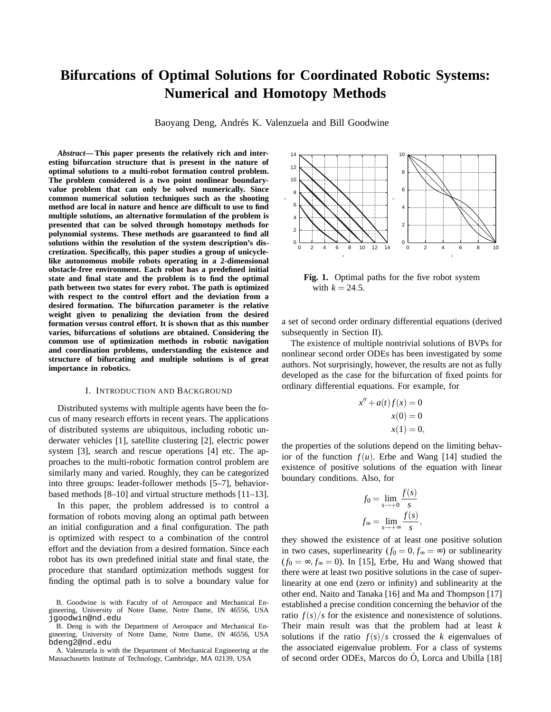# **Bifurcations of Optimal Solutions for Coordinated Robotic Systems: Numerical and Homotopy Methods**

Baoyang Deng, Andrés K. Valenzuela and Bill Goodwine

*Abstract***— This paper presents the relatively rich and interesting bifurcation structure that is present in the nature of optimal solutions to a multi-robot formation control problem. The problem considered is a two point nonlinear boundaryvalue problem that can only be solved numerically. Since common numerical solution techniques such as the shooting method are local in nature and hence are difficult to use to find multiple solutions, an alternative formulation of the problem is presented that can be solved through homotopy methods for polynomial systems. These methods are guaranteed to find all solutions within the resolution of the system description's discretization. Specifically, this paper studies a group of unicyclelike autonomous mobile robots operating in a 2-dimensional obstacle-free environment. Each robot has a predefined initial state and final state and the problem is to find the optimal path between two states for every robot. The path is optimized with respect to the control effort and the deviation from a desired formation. The bifurcation parameter is the relative weight given to penalizing the deviation from the desired formation versus control effort. It is shown that as this number varies, bifurcations of solutions are obtained. Considering the common use of optimization methods in robotic navigation and coordination problems, understanding the existence and structure of bifurcating and multiple solutions is of great importance in robotics.**

#### I. INTRODUCTION AND BACKGROUND

Distributed systems with multiple agents have been the focus of many research efforts in recent years. The applications of distributed systems are ubiquitous, including robotic underwater vehicles [1], satellite clustering [2], electric power system [3], search and rescue operations [4] etc. The approaches to the multi-robotic formation control problem are similarly many and varied. Roughly, they can be categorized into three groups: leader-follower methods [5–7], behaviorbased methods [8–10] and virtual structure methods [11–13].

In this paper, the problem addressed is to control a formation of robots moving along an optimal path between an initial configuration and a final configuration. The path is optimized with respect to a combination of the control effort and the deviation from a desired formation. Since each robot has its own predefined initial state and final state, the procedure that standard optimization methods suggest for finding the optimal path is to solve a boundary value for



**Fig. 1.** Optimal paths for the five robot system with  $k = 24.5$ .

a set of second order ordinary differential equations (derived subsequently in Section II).

The existence of multiple nontrivial solutions of BVPs for nonlinear second order ODEs has been investigated by some authors. Not surprisingly, however, the results are not as fully developed as the case for the bifurcation of fixed points for ordinary differential equations. For example, for

$$
'' + a(t)f(x) = 0
$$
  

$$
x(0) = 0
$$
  

$$
x(1) = 0,
$$

*x*

the properties of the solutions depend on the limiting behavior of the function  $f(u)$ . Erbe and Wang [14] studied the existence of positive solutions of the equation with linear boundary conditions. Also, for

$$
f_0 = \lim_{s \to +0} \frac{f(s)}{s}
$$

$$
f_{\infty} = \lim_{s \to +\infty} \frac{f(s)}{s},
$$

they showed the existence of at least one positive solution in two cases, superlinearity  $(f_0 = 0, f_{\infty} = \infty)$  or sublinearity  $(f_0 = \infty, f_\infty = 0)$ . In [15], Erbe, Hu and Wang showed that there were at least two positive solutions in the case of superlinearity at one end (zero or infinity) and sublinearity at the other end. Naito and Tanaka [16] and Ma and Thompson [17] established a precise condition concerning the behavior of the ratio  $f(s)/s$  for the existence and nonexistence of solutions. Their main result was that the problem had at least *k* solutions if the ratio  $f(s)/s$  crossed the *k* eigenvalues of the associated eigenvalue problem. For a class of systems of second order ODEs, Marcos do  $\acute{O}$ , Lorca and Ubilla [18]

B. Goodwine is with Faculty of of Aerospace and Mechanical Engineering, University of Notre Dame, Notre Dame, IN 46556, USA jgoodwin@nd.edu

B. Deng is with the Department of Aerospace and Mechanical Engineering, University of Notre Dame, Notre Dame, IN 46556, USA bdeng2@nd.edu

A. Valenzuela is with the Department of Mechanical Engineering at the Massachusetts Institute of Technology, Cambridge, MA 02139, USA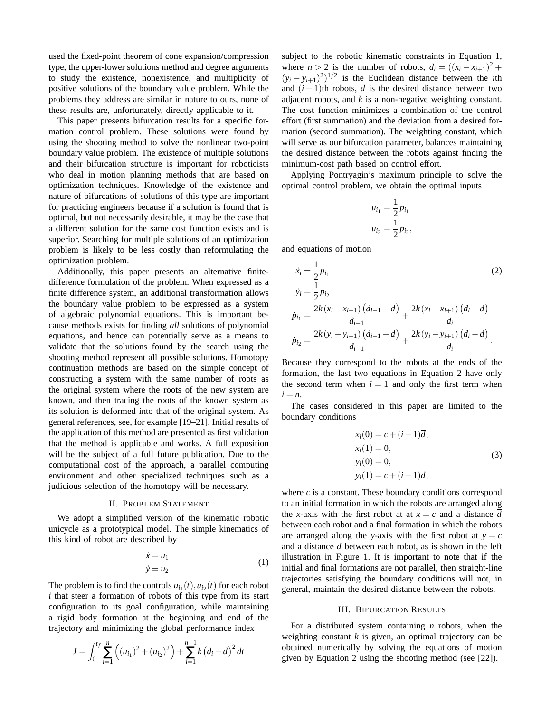used the fixed-point theorem of cone expansion/compression type, the upper-lower solutions method and degree arguments to study the existence, nonexistence, and multiplicity of positive solutions of the boundary value problem. While the problems they address are similar in nature to ours, none of these results are, unfortunately, directly applicable to it.

This paper presents bifurcation results for a specific formation control problem. These solutions were found by using the shooting method to solve the nonlinear two-point boundary value problem. The existence of multiple solutions and their bifurcation structure is important for roboticists who deal in motion planning methods that are based on optimization techniques. Knowledge of the existence and nature of bifurcations of solutions of this type are important for practicing engineers because if a solution is found that is optimal, but not necessarily desirable, it may be the case that a different solution for the same cost function exists and is superior. Searching for multiple solutions of an optimization problem is likely to be less costly than reformulating the optimization problem.

Additionally, this paper presents an alternative finitedifference formulation of the problem. When expressed as a finite difference system, an additional transformation allows the boundary value problem to be expressed as a system of algebraic polynomial equations. This is important because methods exists for finding *all* solutions of polynomial equations, and hence can potentially serve as a means to validate that the solutions found by the search using the shooting method represent all possible solutions. Homotopy continuation methods are based on the simple concept of constructing a system with the same number of roots as the original system where the roots of the new system are known, and then tracing the roots of the known system as its solution is deformed into that of the original system. As general references, see, for example [19–21]. Initial results of the application of this method are presented as first validation that the method is applicable and works. A full exposition will be the subject of a full future publication. Due to the computational cost of the approach, a parallel computing environment and other specialized techniques such as a judicious selection of the homotopy will be necessary.

# II. PROBLEM STATEMENT

We adopt a simplified version of the kinematic robotic unicycle as a prototypical model. The simple kinematics of this kind of robot are described by

$$
\begin{aligned}\n\dot{x} &= u_1 \\
\dot{y} &= u_2.\n\end{aligned} \tag{1}
$$

The problem is to find the controls  $u_{i_1}(t)$ ,  $u_{i_2}(t)$  for each robot *i* that steer a formation of robots of this type from its start configuration to its goal configuration, while maintaining a rigid body formation at the beginning and end of the trajectory and minimizing the global performance index

$$
J = \int_0^{t_f} \sum_{i=1}^n \left( (u_{i_1})^2 + (u_{i_2})^2 \right) + \sum_{i=1}^{n-1} k \left( d_i - \overline{d} \right)^2 dt
$$

subject to the robotic kinematic constraints in Equation 1, where  $n > 2$  is the number of robots,  $d_i = ((x_i - x_{i+1})^2 +$  $(y_i - y_{i+1})^2$ <sup>1/2</sup> is the Euclidean distance between the *i*th and  $(i+1)$ th robots,  $\overline{d}$  is the desired distance between two adjacent robots, and *k* is a non-negative weighting constant. The cost function minimizes a combination of the control effort (first summation) and the deviation from a desired formation (second summation). The weighting constant, which will serve as our bifurcation parameter, balances maintaining the desired distance between the robots against finding the minimum-cost path based on control effort.

Applying Pontryagin's maximum principle to solve the optimal control problem, we obtain the optimal inputs

$$
u_{i_1} = \frac{1}{2} p_{i_1}
$$
  

$$
u_{i_2} = \frac{1}{2} p_{i_2},
$$

and equations of motion

$$
\begin{aligned}\n\dot{x}_i &= \frac{1}{2} p_{i_1} & (2) \\
\dot{y}_i &= \frac{1}{2} p_{i_2} \\
\dot{p}_{i_1} &= \frac{2k (x_i - x_{i-1}) (d_{i-1} - \overline{d})}{d_{i-1}} + \frac{2k (x_i - x_{i+1}) (d_i - \overline{d})}{d_i} \\
\dot{p}_{i_2} &= \frac{2k (y_i - y_{i-1}) (d_{i-1} - \overline{d})}{d_{i-1}} + \frac{2k (y_i - y_{i+1}) (d_i - \overline{d})}{d_i}.\n\end{aligned}
$$

Because they correspond to the robots at the ends of the formation, the last two equations in Equation 2 have only the second term when  $i = 1$  and only the first term when  $i = n$ .

The cases considered in this paper are limited to the boundary conditions

$$
x_i(0) = c + (i - 1)\overline{d},
$$
  
\n
$$
x_i(1) = 0,
$$
  
\n
$$
y_i(0) = 0,
$$
  
\n
$$
y_i(1) = c + (i - 1)\overline{d},
$$
\n(3)

where *c* is a constant. These boundary conditions correspond to an initial formation in which the robots are arranged along the *x*-axis with the first robot at at  $x = c$  and a distance  $\overline{d}$ between each robot and a final formation in which the robots are arranged along the *y*-axis with the first robot at  $y = c$ and a distance *d* between each robot, as is shown in the left illustration in Figure 1. It is important to note that if the initial and final formations are not parallel, then straight-line trajectories satisfying the boundary conditions will not, in general, maintain the desired distance between the robots.

## III. BIFURCATION RESULTS

For a distributed system containing *n* robots, when the weighting constant *k* is given, an optimal trajectory can be obtained numerically by solving the equations of motion given by Equation 2 using the shooting method (see [22]).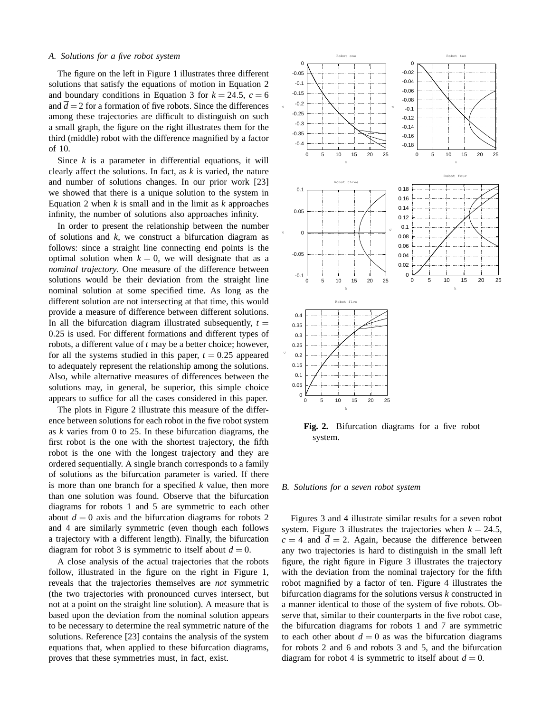#### *A. Solutions for a five robot system*

The figure on the left in Figure 1 illustrates three different solutions that satisfy the equations of motion in Equation 2 and boundary conditions in Equation 3 for  $k = 24.5$ ,  $c = 6$ and  $\overline{d} = 2$  for a formation of five robots. Since the differences among these trajectories are difficult to distinguish on such a small graph, the figure on the right illustrates them for the third (middle) robot with the difference magnified by a factor of 10.

Since *k* is a parameter in differential equations, it will clearly affect the solutions. In fact, as *k* is varied, the nature and number of solutions changes. In our prior work [23] we showed that there is a unique solution to the system in Equation 2 when *k* is small and in the limit as *k* approaches infinity, the number of solutions also approaches infinity.

In order to present the relationship between the number of solutions and *k*, we construct a bifurcation diagram as follows: since a straight line connecting end points is the optimal solution when  $k = 0$ , we will designate that as a *nominal trajectory*. One measure of the difference between solutions would be their deviation from the straight line nominal solution at some specified time. As long as the different solution are not intersecting at that time, this would provide a measure of difference between different solutions. In all the bifurcation diagram illustrated subsequently,  $t =$ 0.25 is used. For different formations and different types of robots, a different value of *t* may be a better choice; however, for all the systems studied in this paper,  $t = 0.25$  appeared to adequately represent the relationship among the solutions. Also, while alternative measures of differences between the solutions may, in general, be superior, this simple choice appears to suffice for all the cases considered in this paper.

The plots in Figure 2 illustrate this measure of the difference between solutions for each robot in the five robot system as *k* varies from 0 to 25. In these bifurcation diagrams, the first robot is the one with the shortest trajectory, the fifth robot is the one with the longest trajectory and they are ordered sequentially. A single branch corresponds to a family of solutions as the bifurcation parameter is varied. If there is more than one branch for a specified *k* value, then more than one solution was found. Observe that the bifurcation diagrams for robots 1 and 5 are symmetric to each other about  $d = 0$  axis and the bifurcation diagrams for robots 2 and 4 are similarly symmetric (even though each follows a trajectory with a different length). Finally, the bifurcation diagram for robot 3 is symmetric to itself about  $d = 0$ .

A close analysis of the actual trajectories that the robots follow, illustrated in the figure on the right in Figure 1, reveals that the trajectories themselves are *not* symmetric (the two trajectories with pronounced curves intersect, but not at a point on the straight line solution). A measure that is based upon the deviation from the nominal solution appears to be necessary to determine the real symmetric nature of the solutions. Reference [23] contains the analysis of the system equations that, when applied to these bifurcation diagrams, proves that these symmetries must, in fact, exist.



**Fig. 2.** Bifurcation diagrams for a five robot system.

## *B. Solutions for a seven robot system*

Figures 3 and 4 illustrate similar results for a seven robot system. Figure 3 illustrates the trajectories when  $k = 24.5$ ,  $c = 4$  and  $\overline{d} = 2$ . Again, because the difference between any two trajectories is hard to distinguish in the small left figure, the right figure in Figure 3 illustrates the trajectory with the deviation from the nominal trajectory for the fifth robot magnified by a factor of ten. Figure 4 illustrates the bifurcation diagrams for the solutions versus *k* constructed in a manner identical to those of the system of five robots. Observe that, similar to their counterparts in the five robot case, the bifurcation diagrams for robots 1 and 7 are symmetric to each other about  $d = 0$  as was the bifurcation diagrams for robots 2 and 6 and robots 3 and 5, and the bifurcation diagram for robot 4 is symmetric to itself about  $d = 0$ .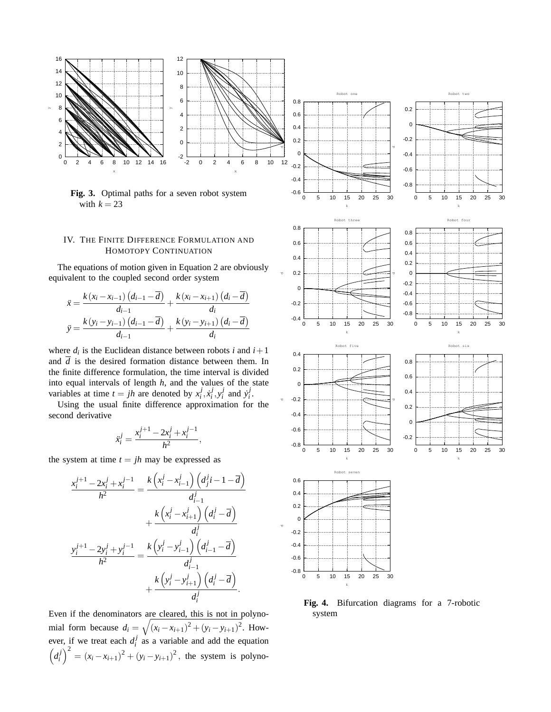

**Fig. 3.** Optimal paths for a seven robot system with  $k = 23$ 

x

# IV. THE FINITE DIFFERENCE FORMULATION AND HOMOTOPY CONTINUATION

The equations of motion given in Equation 2 are obviously equivalent to the coupled second order system

$$
\ddot{x} = \frac{k(x_i - x_{i-1})(d_{i-1} - \overline{d})}{d_{i-1}} + \frac{k(x_i - x_{i+1})(d_i - \overline{d})}{d_i}
$$

$$
\ddot{y} = \frac{k(y_i - y_{i-1})(d_{i-1} - \overline{d})}{d_{i-1}} + \frac{k(y_i - y_{i+1})(d_i - \overline{d})}{d_i}
$$

where  $d_i$  is the Euclidean distance between robots *i* and  $i+1$ and  $\overline{d}$  is the desired formation distance between them. In the finite difference formulation, the time interval is divided into equal intervals of length *h*, and the values of the state variables at time  $t = jh$  are denoted by  $x_i^j$ ,  $\dot{x}_i^j$ ,  $y_i^j$  and  $\dot{y}_i^j$ .

Using the usual finite difference approximation for the second derivative

$$
\ddot{x}_i^j = \frac{x_i^{j+1} - 2x_i^j + x_i^{j-1}}{h^2},
$$

the system at time  $t = jh$  may be expressed as

$$
\frac{x_i^{j+1} - 2x_i^j + x_i^{j-1}}{h^2} = \frac{k\left(x_i^j - x_{i-1}^j\right)\left(d_j^j - 1 - \overline{d}\right)}{d_{i-1}^j} + \frac{k\left(x_i^j - x_{i+1}^j\right)\left(d_i^j - \overline{d}\right)}{d_i^j}
$$

$$
\frac{y_i^{j+1} - 2y_i^j + y_i^{j-1}}{h^2} = \frac{k\left(y_i^j - y_{i-1}^j\right)\left(d_{i-1}^j - \overline{d}\right)}{d_{i-1}^j}
$$

$$
+ \frac{k\left(y_i^j - y_{i+1}^j\right)\left(d_i^j - \overline{d}\right)}{d_i^j}.
$$

Even if the denominators are cleared, this is not in polynomial form because  $d_i = \sqrt{(x_i - x_{i+1})^2 + (y_i - y_{i+1})^2}$ . However, if we treat each  $d_i^j$  as a variable and add the equation  $(d_i^j)^2 = (x_i - x_{i+1})^2 + (y_i - y_{i+1})^2$ , the system is polyno-



k









k

Robot five





k

-0.8

0.4 0.6

**Fig. 4.** Bifurcation diagrams for a 7-robotic system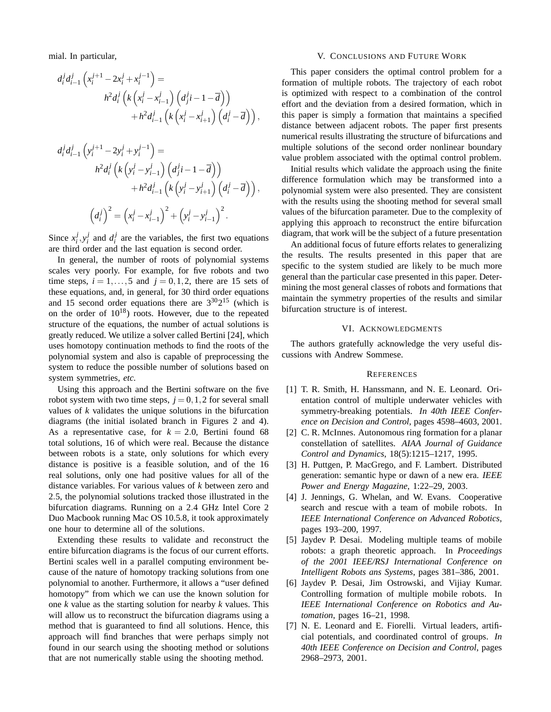mial. In particular,

$$
d_i^j d_{i-1}^j \left( x_i^{j+1} - 2x_i^j + x_i^{j-1} \right) =
$$
  

$$
h^2 d_i^j \left( k \left( x_i^j - x_{i-1}^j \right) \left( d_j^j i - 1 - \overline{d} \right) \right)
$$
  

$$
+ h^2 d_{i-1}^j \left( k \left( x_i^j - x_{i+1}^j \right) \left( d_i^j - \overline{d} \right) \right),
$$

$$
d_i^j d_{i-1}^j \left( y_i^{j+1} - 2y_i^j + y_i^{j-1} \right) =
$$
  
\n
$$
h^2 d_i^j \left( k \left( y_i^j - y_{i-1}^j \right) \left( d_j^j i - 1 - \overline{d} \right) \right)
$$
  
\n
$$
+ h^2 d_{i-1}^j \left( k \left( y_i^j - y_{i+1}^j \right) \left( d_i^j - \overline{d} \right) \right),
$$
  
\n
$$
\left( d_i^j \right)^2 = \left( x_i^j - x_{i-1}^j \right)^2 + \left( y_i^j - y_{i-1}^j \right)^2.
$$

Since  $x_i^j$ ,  $y_i^j$  and  $d_i^j$  are the variables, the first two equations are third order and the last equation is second order.

In general, the number of roots of polynomial systems scales very poorly. For example, for five robots and two time steps,  $i = 1, \ldots, 5$  and  $j = 0, 1, 2$ , there are 15 sets of these equations, and, in general, for 30 third order equations and 15 second order equations there are  $3^{30}2^{15}$  (which is on the order of  $10^{18}$ ) roots. However, due to the repeated structure of the equations, the number of actual solutions is greatly reduced. We utilize a solver called Bertini [24], which uses homotopy continuation methods to find the roots of the polynomial system and also is capable of preprocessing the system to reduce the possible number of solutions based on system symmetries, *etc.*

Using this approach and the Bertini software on the five robot system with two time steps,  $j = 0, 1, 2$  for several small values of *k* validates the unique solutions in the bifurcation diagrams (the initial isolated branch in Figures 2 and 4). As a representative case, for  $k = 2.0$ , Bertini found 68 total solutions, 16 of which were real. Because the distance between robots is a state, only solutions for which every distance is positive is a feasible solution, and of the 16 real solutions, only one had positive values for all of the distance variables. For various values of *k* between zero and 2.5, the polynomial solutions tracked those illustrated in the bifurcation diagrams. Running on a 2.4 GHz Intel Core 2 Duo Macbook running Mac OS 10.5.8, it took approximately one hour to determine all of the solutions.

Extending these results to validate and reconstruct the entire bifurcation diagrams is the focus of our current efforts. Bertini scales well in a parallel computing environment because of the nature of homotopy tracking solutions from one polynomial to another. Furthermore, it allows a "user defined homotopy" from which we can use the known solution for one *k* value as the starting solution for nearby *k* values. This will allow us to reconstruct the bifurcation diagrams using a method that is guaranteed to find all solutions. Hence, this approach will find branches that were perhaps simply not found in our search using the shooting method or solutions that are not numerically stable using the shooting method.

#### V. CONCLUSIONS AND FUTURE WORK

This paper considers the optimal control problem for a formation of multiple robots. The trajectory of each robot is optimized with respect to a combination of the control effort and the deviation from a desired formation, which in this paper is simply a formation that maintains a specified distance between adjacent robots. The paper first presents numerical results illustrating the structure of bifurcations and multiple solutions of the second order nonlinear boundary value problem associated with the optimal control problem.

Initial results which validate the approach using the finite difference formulation which may be transformed into a polynomial system were also presented. They are consistent with the results using the shooting method for several small values of the bifurcation parameter. Due to the complexity of applying this approach to reconstruct the entire bifurcation diagram, that work will be the subject of a future presentation

An additional focus of future efforts relates to generalizing the results. The results presented in this paper that are specific to the system studied are likely to be much more general than the particular case presented in this paper. Determining the most general classes of robots and formations that maintain the symmetry properties of the results and similar bifurcation structure is of interest.

## VI. ACKNOWLEDGMENTS

The authors gratefully acknowledge the very useful discussions with Andrew Sommese.

## **REFERENCES**

- [1] T. R. Smith, H. Hanssmann, and N. E. Leonard. Orientation control of multiple underwater vehicles with symmetry-breaking potentials. *In 40th IEEE Conference on Decision and Control*, pages 4598–4603, 2001.
- [2] C. R. McInnes. Autonomous ring formation for a planar constellation of satellites. *AIAA Journal of Guidance Control and Dynamics*, 18(5):1215–1217, 1995.
- [3] H. Puttgen, P. MacGrego, and F. Lambert. Distributed generation: semantic hype or dawn of a new era. *IEEE Power and Energy Magazine*, 1:22–29, 2003.
- [4] J. Jennings, G. Whelan, and W. Evans. Cooperative search and rescue with a team of mobile robots. In *IEEE International Conference on Advanced Robotics*, pages 193–200, 1997.
- [5] Jaydev P. Desai. Modeling multiple teams of mobile robots: a graph theoretic approach. In *Proceedings of the 2001 IEEE/RSJ International Conference on Intelligent Robots ans Systems*, pages 381–386, 2001.
- [6] Jaydev P. Desai, Jim Ostrowski, and Vijiay Kumar. Controlling formation of multiple mobile robots. In *IEEE International Conference on Robotics and Automation*, pages 16–21, 1998.
- [7] N. E. Leonard and E. Fiorelli. Virtual leaders, artificial potentials, and coordinated control of groups. *In 40th IEEE Conference on Decision and Control*, pages 2968–2973, 2001.